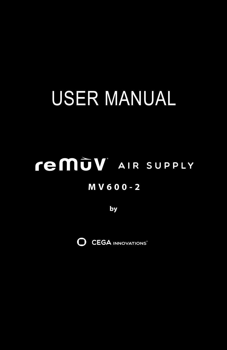# USER MANUAL

## .<br>AIR SUPPLY  **MV600-2**

**by**

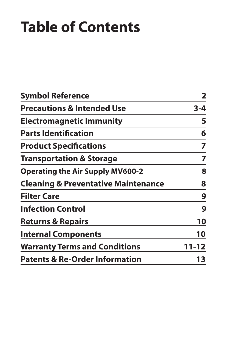## **Table of Contents**

| <b>Symbol Reference</b>                        | $\overline{\mathbf{2}}$ |
|------------------------------------------------|-------------------------|
| <b>Precautions &amp; Intended Use</b>          | $3 - 4$                 |
| <b>Electromagnetic Immunity</b>                | 5                       |
| <b>Parts Identification</b>                    | 6                       |
| <b>Product Specifications</b>                  | 7                       |
| <b>Transportation &amp; Storage</b>            | 7                       |
| <b>Operating the Air Supply MV600-2</b>        | 8                       |
| <b>Cleaning &amp; Preventative Maintenance</b> | 8                       |
| <b>Filter Care</b>                             | 9                       |
| <b>Infection Control</b>                       | 9                       |
| <b>Returns &amp; Repairs</b>                   | 10                      |
| <b>Internal Components</b>                     | 10                      |
| <b>Warranty Terms and Conditions</b>           | 11-12                   |
| <b>Patents &amp; Re-Order Information</b>      | 13                      |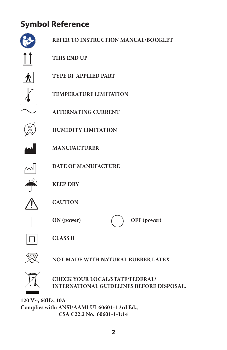## **Symbol Reference**



**120 V~, 60Hz, 10A Complies with: ANSI/AAMI UL 60601-1 3rd Ed., CSA C22.2 No. 60601-1-1:14**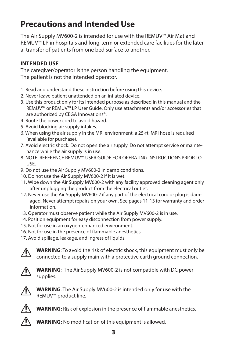### **Precautions and Intended Use**

The Air Supply MV600-2 is intended for use with the REMUV™ Air Mat and REMUV™ LP in hospitals and long-term or extended care facilities for the lateral transfer of patients from one bed surface to another.

#### **INTENDED USE**

The caregiver/operator is the person handling the equipment. The patient is not the intended operator.

- 1. Read and understand these instruction before using this device.
- 2. Never leave patient unattended on an inflated device.
- 3. Use this product only for its intended purpose as described in this manual and the REMUV™ or REMUV™ LP User Guide. Only use attachments and/or accessories that are authorized by CEGA Innovations®.
- 4. Route the power cord to avoid hazard.
- 5. Avoid blocking air supply intakes.
- 6. When using the air supply in the MRI environment, a 25-ft. MRI hose is required (available for purchase).
- 7. Avoid electric shock. Do not open the air supply. Do not attempt service or maintenance while the air supply is in use.
- 8. NOTE: REFERENCE REMUV™ USER GUIDE FOR OPERATING INSTRUCTIONS PRIOR TO USE.
- 9. Do not use the Air Supply MV600-2 in damp conditions.
- 10. Do not use the Air Supply MV600-2 if it is wet.
- 11. Wipe down the Air Supply MV600-2 with any facility approved cleaning agent only after unplugging the product from the electrical outlet.
- 12. Never use the Air Supply MV600-2 if any part of the electrical cord or plug is damaged. Never attempt repairs on your own. See pages 11-13 for warranty and order information.
- 13. Operator must observe patient while the Air Supply MV600-2 is in use.
- 14. Position equipment for easy disconnection from power supply.
- 15. Not for use in an oxygen-enhanced environment.
- 16. Not for use in the presence of flammable anesthetics.
- 17. Avoid spillage, leakage, and ingress of liquids.



**WARNING**: To avoid the risk of electric shock, this equipment must only be connected to a supply main with a protective earth ground connection.



**WARNING**: The Air Supply MV600-2 is not compatible with DC power supplies.



**WARNING**: The Air Supply MV600-2 is intended only for use with the REMUV™ product line.



**WARNING:** Risk of explosion in the presence of flammable anesthetics.



**WARNING:** No modification of this equipment is allowed.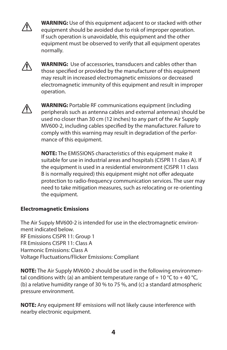

**WARNING:** Use of this equipment adjacent to or stacked with other equipment should be avoided due to risk of improper operation. If such operation is unavoidable, this equipment and the other equipment must be observed to verify that all equipment operates normally.



**WARNING:** Use of accessories, transducers and cables other than those specified or provided by the manufacturer of this equipment may result in increased electromagnetic emissions or decreased electromagnetic immunity of this equipment and result in improper operation.



**WARNING:** Portable RF communications equipment (including peripherals such as antenna cables and external antennas) should be used no closer than 30 cm (12 inches) to any part of the Air Supply MV600-2, including cables specified by the manufacturer. Failure to comply with this warning may result in degradation of the performance of this equipment.

**NOTE:** The EMISSIONS characteristics of this equipment make it suitable for use in industrial areas and hospitals (CISPR 11 class A). If the equipment is used in a residential environment (CISPR 11 class B is normally required) this equipment might not offer adequate protection to radio-frequency communication services. The user may need to take mitigation measures, such as relocating or re-orienting the equipment.

#### **Electromagnetic Emissions**

The Air Supply MV600-2 is intended for use in the electromagnetic environment indicated below. RF Emissions CISPR 11: Group 1 FR Emissions CISPR 11: Class A Harmonic Emissions: Class A Voltage Fluctuations/Flicker Emissions: Compliant

**NOTE:** The Air Supply MV600-2 should be used in the following environmental conditions with: (a) an ambient temperature range of + 10 °C to + 40 °C, (b) a relative humidity range of 30 % to 75 %, and (c) a standard atmospheric pressure environment.

**NOTE:** Any equipment RF emissions will not likely cause interference with nearby electronic equipment.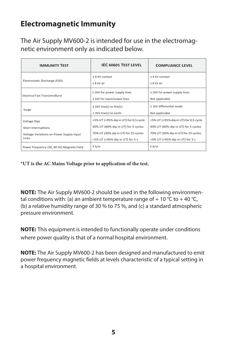#### **Electromagnetic Immunity**

The Air Supply MV600-2 is intended for use in the electromagnetic environment only as indicated below.

| <b>IMMUNITY TEST</b>                                                                            | IEC 60601 TEST LEVEL                                                                                                                                    | <b>COMPLIANCE LEVEL</b>                                                                                                                                 |
|-------------------------------------------------------------------------------------------------|---------------------------------------------------------------------------------------------------------------------------------------------------------|---------------------------------------------------------------------------------------------------------------------------------------------------------|
| Electrostatic Discharge (ESD)                                                                   | + 6 kV contact<br>+ 8 kV air                                                                                                                            | + 6 kV contact<br>+ 8 kV air                                                                                                                            |
| <b>Electrical Fast Transient/Burst</b>                                                          | ± 2kV for power supply lines<br>± 1kV for input/output lines                                                                                            | ± 2kV for power supply lines<br>Not applicable                                                                                                          |
| Surge                                                                                           | $±$ 1kV line(s) to line(s)<br>± 2kV line(s) to earth                                                                                                    | ± 1kV differential mode<br>Not applicable                                                                                                               |
| <b>Voltage Dips</b><br>Short Interruptions<br>Voltage Variations on Power Supply Input<br>Lines | <5% UT (>95% dip in UT) for 0,5 cycle<br>40% UT (60% dip in UT) for 5 cycles<br>70% UT (30% dip in UT) for 25 cycles<br><5% UT (>95% dip in UT) for 5 s | <5% UT (>95% dip in UT) for 0,5 cycle<br>40% UT (60% dip in UT) for 5 cycles<br>70% UT (30% dip in UT) for 25 cycles<br><5% UT (>95% dip in UT) for 5 s |
| Power Frequency (50, 60 Hz) Magnetic Field                                                      | 3A/m                                                                                                                                                    | 3 A/m                                                                                                                                                   |

**\*UT is the AC Mains Voltage prior to application of the test.**

**NOTE:** The Air Supply MV600-2 should be used in the following environmental conditions with: (a) an ambient temperature range of  $+10$  °C to  $+40$  °C, (b) a relative humidity range of 30 % to 75 %, and (c) a standard atmospheric pressure environment.

**NOTE:** This equipment is intended to functionally operate under conditions where power quality is that of a normal hospital environment.

**NOTE:** The Air Supply MV600-2 has been designed and manufactured to emit power frequency magnetic fields at levels characteristic of a typical setting in a hospital environment.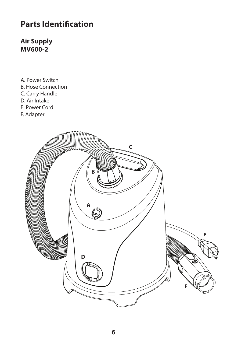#### **Parts Identification**

**Air Supply MV600-2**

- A. Power Switch B. Hose Connection C. Carry Handle D. Air Intake E. Power Cord
- F. Adapter

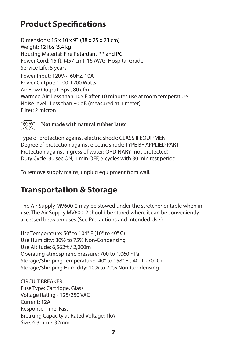### **Product Specifications**

Dimensions: 15 x 10 x 9" (38 x 25 x 23 cm) Weight: 12 lbs (5.4 kg) Housing Material: Fire Retardant PP and PC Power Cord: 15 ft. (457 cm), 16 AWG, Hospital Grade Service Life: 5 years Power Input: 120V~, 60Hz, 10A Power Output: 1100-1200 Watts Air Flow Output: 3psi, 80 cfm Warmed Air: Less than 105 F after 10 minutes use at room temperature Noise level: Less than 80 dB (measured at 1 meter) Filter: 2 micron



**Not made with natural rubber latex**

Type of protection against electric shock: CLASS II EQUIPMENT Degree of protection against electric shock: TYPE BF APPLIED PART Protection against ingress of water: ORDINARY (not protected). Duty Cycle: 30 sec ON, 1 min OFF, 5 cycles with 30 min rest period

To remove supply mains, unplug equipment from wall.

#### **Transportation & Storage**

The Air Supply MV600-2 may be stowed under the stretcher or table when in use. The Air Supply MV600-2 should be stored where it can be conveniently accessed between uses (See Precautions and Intended Use.)

Use Temperature: 50° to 104° F (10° to 40° C) Use Humidity: 30% to 75% Non-Condensing Use Altitude: 6,562ft / 2,000m Operating atmospheric pressure: 700 to 1,060 hPa Storage/Shipping Temperature: -40° to 158° F (-40° to 70° C) Storage/Shipping Humidity: 10% to 70% Non-Condensing

CIRCUIT BREAKER Fuse Type: Cartridge, Glass Voltage Rating - 125/250 VAC Current: 12A Response Time: Fast Breaking Capacity at Rated Voltage: 1kA Size: 6.3mm x 32mm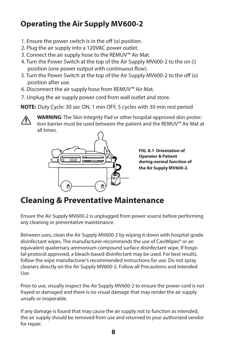#### **Operating the Air Supply MV600-2**

- 1. Ensure the power switch is in the off (o) position.
- 2. Plug the air supply into a 120VAC power outlet.
- 3. Connect the air supply hose to the REMUV™ Air Mat.
- 4. Turn the Power Switch at the top of the Air Supply MV600-2 to the on (|) position (one power output with continuous flow).
- 5. Turn the Power Switch at the top of the Air Supply MV600-2 to the off (o) position after use.
- 6. Disconnect the air supply hose from REMUV™ Air Mat.
- 7. Unplug the air supply power cord from wall outlet and store.

**NOTE:** Duty Cycle: 30 sec ON, 1 min OFF, 5 cycles with 30 min rest period



**WARNING**: The Skin Integrity Pad or other hospital-approved skin protection barrier must be used between the patient and the REMUV™ Air Mat at all times.



**FIG. 8.1 Orientation of Operator & Patient during normal function of the Air Supply MV600-2.**

#### **Cleaning & Preventative Maintenance**

Ensure the Air Supply MV600-2 is unplugged from power source before performing any cleaning or preventative maintenance.

Between uses, clean the Air Supply MV600-2 by wiping it down with hospital-grade disinfectant wipes. The manufacturer recommends the use of CaviWipes® or an equivalent quaternary ammonium compound surface disinfectant wipe. If hospital-protocol approved, a bleach-based disinfectant may be used. For best results, follow the wipe manufacturer's recommended instructions for use. Do not spray cleaners directly on the Air Supply MV600-2. Follow all Precautions and Intended Use.

Prior to use, visually inspect the Air Supply MV600-2 to ensure the power cord is not frayed or damaged and there is no visual damage that may render the air supply unsafe or inoperable.

If any damage is found that may cause the air supply not to function as intended, the air supply should be removed from use and returned to your authorized vendor for repair.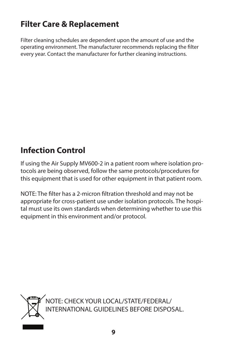### **Filter Care & Replacement**

Filter cleaning schedules are dependent upon the amount of use and the operating environment. The manufacturer recommends replacing the filter every year. Contact the manufacturer for further cleaning instructions.

## **Infection Control**

If using the Air Supply MV600-2 in a patient room where isolation protocols are being observed, follow the same protocols/procedures for this equipment that is used for other equipment in that patient room.

NOTE: The filter has a 2-micron filtration threshold and may not be appropriate for cross-patient use under isolation protocols. The hospital must use its own standards when determining whether to use this equipment in this environment and/or protocol.



NOTE: CHECK YOUR LOCAL/STATE/FEDERAL/ INTERNATIONAL GUIDELINES BEFORE DISPOSAL.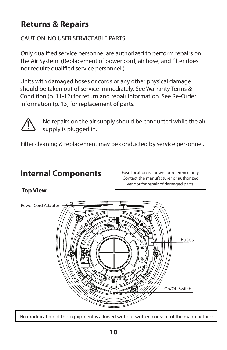### **Returns & Repairs**

CAUTION: NO USER SERVICEABLE PARTS.

Only qualified service personnel are authorized to perform repairs on the Air System. (Replacement of power cord, air hose, and filter does not require qualified service personnel.)

Units with damaged hoses or cords or any other physical damage should be taken out of service immediately. See Warranty Terms & Condition (p. 11-12) for return and repair information. See Re-Order Information (p. 13) for replacement of parts.



No repairs on the air supply should be conducted while the air supply is plugged in.

Filter cleaning & replacement may be conducted by service personnel.

#### **Internal Components**

Fuse location is shown for reference only. Contact the manufacturer or authorized vendor for repair of damaged parts.

#### **Top View**

Power Cord Adapter



No modification of this equipment is allowed without written consent of the manufacturer.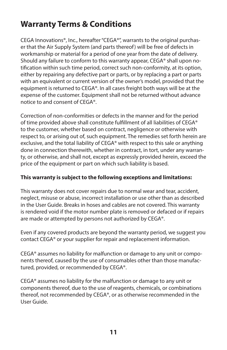#### **Warranty Terms & Conditions**

CEGA Innovations®, Inc., hereafter "CEGA®", warrants to the original purchaser that the Air Supply System (and parts thereof) will be free of defects in workmanship or material for a period of one year from the date of delivery. Should any failure to conform to this warranty appear, CEGA® shall upon notification within such time period, correct such non-conformity, at its option, either by repairing any defective part or parts, or by replacing a part or parts with an equivalent or current version of the owner's model, provided that the equipment is returned to CEGA®. In all cases freight both ways will be at the expense of the customer. Equipment shall not be returned without advance notice to and consent of CEGA®.

Correction of non-conformities or defects in the manner and for the period of time provided above shall constitute fulfillment of all liabilities of CEGA® to the customer, whether based on contract, negligence or otherwise with respect to, or arising out of, such equipment. The remedies set forth herein are exclusive, and the total liability of CEGA® with respect to this sale or anything done in connection therewith, whether in contract, in tort, under any warranty, or otherwise, and shall not, except as expressly provided herein, exceed the price of the equipment or part on which such liability is based.

#### **This warranty is subject to the following exceptions and limitations:**

This warranty does not cover repairs due to normal wear and tear, accident, neglect, misuse or abuse, incorrect installation or use other than as described in the User Guide. Breaks in hoses and cables are not covered. This warranty is rendered void if the motor number plate is removed or defaced or if repairs are made or attempted by persons not authorized by CEGA®.

Even if any covered products are beyond the warranty period, we suggest you contact CEGA® or your supplier for repair and replacement information.

CEGA® assumes no liability for malfunction or damage to any unit or components thereof, caused by the use of consumables other than those manufactured, provided, or recommended by CEGA®.

CEGA® assumes no liability for the malfunction or damage to any unit or components thereof, due to the use of reagents, chemicals, or combinations thereof, not recommended by CEGA®, or as otherwise recommended in the User Guide.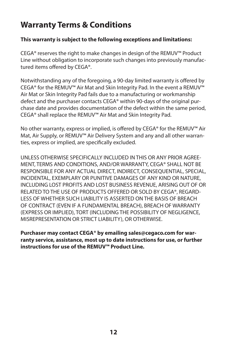#### **Warranty Terms & Conditions**

#### **This warranty is subject to the following exceptions and limitations:**

CEGA® reserves the right to make changes in design of the REMUV™ Product Line without obligation to incorporate such changes into previously manufactured items offered by CEGA®.

Notwithstanding any of the foregoing, a 90-day limited warranty is offered by CEGA® for the REMUV™ Air Mat and Skin Integrity Pad. In the event a REMUV™ Air Mat or Skin Integrity Pad fails due to a manufacturing or workmanship defect and the purchaser contacts CEGA® within 90-days of the original purchase date and provides documentation of the defect within the same period, CEGA® shall replace the REMUV™ Air Mat and Skin Integrity Pad.

No other warranty, express or implied, is offered by CEGA® for the REMUV™ Air Mat, Air Supply, or REMUV™ Air Delivery System and any and all other warranties, express or implied, are specifically excluded.

UNLESS OTHERWISE SPECIFICALLY INCLUDED IN THIS OR ANY PRIOR AGREE-MENT, TERMS AND CONDITIONS, AND/OR WARRANTY, CEGA® SHALL NOT BE RESPONSIBLE FOR ANY ACTUAL DIRECT, INDIRECT, CONSEQUENTIAL, SPECIAL, INCIDENTAL, EXEMPLARY OR PUNITIVE DAMAGES OF ANY KIND OR NATURE, INCLUDING LOST PROFITS AND LOST BUSINESS REVENUE, ARISING OUT OF OR RELATED TO THE USE OF PRODUCTS OFFERED OR SOLD BY CEGA®, REGARD-LESS OF WHETHER SUCH LIABILITY IS ASSERTED ON THE BASIS OF BREACH OF CONTRACT (EVEN IF A FUNDAMENTAL BREACH), BREACH OF WARRANTY (EXPRESS OR IMPLIED), TORT (INCLUDING THE POSSIBILITY OF NEGLIGENCE, MISREPRESENTATION OR STRICT LIABILITY), OR OTHERWISE.

**Purchaser may contact CEGA® by emailing sales@cegaco.com for warranty service, assistance, most up to date instructions for use, or further instructions for use of the REMUV™ Product Line.**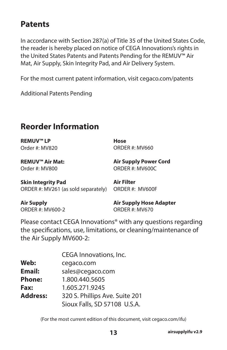#### **Patents**

In accordance with Section 287(a) of Title 35 of the United States Code, the reader is hereby placed on notice of CEGA Innovations's rights in the United States Patents and Patents Pending for the REMUV™ Air Mat, Air Supply, Skin Integrity Pad, and Air Delivery System.

For the most current patent information, visit cegaco.com/patents

Additional Patents Pending

#### **Reorder Information**

**REMUV™ LP** Order #: MV820 **Hose** ORDER #: MV660

**REMUV™ Air Mat:**  Order #: MV800

**Air Supply Power Cord** ORDER #: MV600C

| <b>Skin Integrity Pad</b>           | Air Filter      |
|-------------------------------------|-----------------|
| ORDER #: MV261 (as sold separately) | ORDER #: MV600F |

**Air Supply** ORDER #: MV600-2

**Air Supply Hose Adapter** ORDER #: MV670

Please contact CEGA Innovations® with any questions regarding the specifications, use, limitations, or cleaning/maintenance of the Air Supply MV600-2:

|                 | CEGA Innovations, Inc.         |
|-----------------|--------------------------------|
| Web:            | cegaco.com                     |
| <b>Email:</b>   | sales@cegaco.com               |
| <b>Phone:</b>   | 1.800.440.5605                 |
| <b>Fax:</b>     | 1.605.271.9245                 |
| <b>Address:</b> | 320 S. Phillips Ave. Suite 201 |
|                 | Sioux Falls, SD 57108 U.S.A.   |

(For the most current edition of this document, visit cegaco.com/ifu)